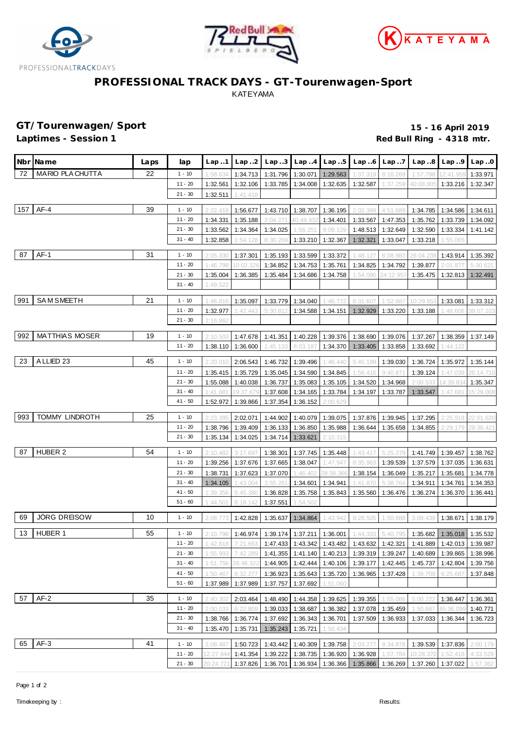





## **PROFESSIONAL TRACK DAYS - GT-Tourenwagen-Sport** KATEYAMA

**GT/Tourenwagen/Sport 15 - 16 April 2019** Red Bull Ring - 4318 mtr.

|                          | Nbr <b>I</b> Name       | Laps | lap       | Lap1      | Lap.2     | Lap.3    | Lap.4                        | Lap.5               | Lap6     | Lap.7             | Lap.8                                                                                 | Lap.9             | Lap.0     |
|--------------------------|-------------------------|------|-----------|-----------|-----------|----------|------------------------------|---------------------|----------|-------------------|---------------------------------------------------------------------------------------|-------------------|-----------|
| 72                       | <b>MARIO PLA CHUTTA</b> | 22   | $1 - 10$  | 1:58.634  | 1:34.713  | 1:31.796 | 1:30.071                     | 1:29.563            | 1:37.319 | 8:16.269          | 1:57.798                                                                              | 12:41.95          | 1:33.971  |
|                          |                         |      | $11 - 20$ | 1:32.561  | 1:32.106  | 1:33.785 | 1:34.008                     | 1:32.635            | 1:32.587 | 1:37.259          | 40:08.805                                                                             | 1:33.216          | 1:32.347  |
|                          |                         |      | $21 - 30$ | 1:32.511  | 1:41.418  |          |                              |                     |          |                   |                                                                                       |                   |           |
| $AF-4$<br>39<br>$1 - 10$ |                         |      |           |           |           |          |                              |                     |          |                   |                                                                                       |                   |           |
| 157                      |                         |      |           | 2:22.418  | 1:56.677  | 1:43.710 | 1:38.707                     | 1:36.195            | 2:02.399 | 4:51.689          | 1:34.785                                                                              | 1:34.586          | 1:34.611  |
|                          |                         |      | $11 - 20$ | 1:34.331  | 1:35.188  | 2:04.27  | 40:49.932                    | 1:34.401            | 1:33.567 | 1:47.353          | 1:35.762                                                                              | 1:33.739          | 1:34.092  |
|                          |                         |      | $21 - 30$ | 1:33.562  | 1:34.364  | 1:34.025 | 1:56.251                     | 9:09.129            | 1:48.513 | 1:32.649          | 1:32.590                                                                              | 1:33.334          | 1:41.142  |
|                          |                         |      | $31 - 40$ | 1:32.858  | 1:54.128  | 8:30.269 | 1:33.210                     | 1:32.367            | 1:32.321 | 1:33.047          | 1:33.218                                                                              | 1:55.065          |           |
| 87                       | $AF-1$                  | 31   | $1 - 10$  | 2:05.330  | 1:37.301  | 1:35.193 | 1:33.599                     | 1:33.372            | 1:48.127 | 8:08.98           | 26:04.23                                                                              | 1:43.914          | 1:35.392  |
|                          |                         |      | $11 - 20$ | 1:46.798  | 10:02.3   | 1:34.852 | 1:34.753                     | 1:35.761            | 1:34.825 | 1:34.792          | 1:39.877                                                                              | 2:01.87           | 5:30.62   |
|                          |                         |      | $21 - 30$ | 1:35.004  | 1:36.385  | 1:35.484 | 1:34.686                     | 1:34.758            | 1:54.080 | 24:12.95          | 1:35.475                                                                              | 1:32.813          | 1:32.491  |
|                          |                         |      | $31 - 40$ | 1:49.522  |           |          |                              |                     |          |                   |                                                                                       |                   |           |
|                          |                         |      |           |           |           |          |                              |                     |          |                   |                                                                                       |                   |           |
| 991                      | <b>SAM SMEETH</b>       | 21   | $1 - 10$  | 1:46.816  | 1:35.097  | 1:33.779 | 1:34.040                     | 1:46.772            | 6:31.607 | 1:52.88           | 10:29.65                                                                              | 1:33.081          | 1:33.312  |
|                          |                         |      | $11 - 20$ | 1:32.977  | 1:42.443  | 5:30.812 | 1:34.588                     | 1:34.151            | 1:32.929 | 1:33.220          | 1:33.188                                                                              | 1:48.606          | 39:07.103 |
|                          |                         |      | $21 - 30$ | 2:16.862  |           |          |                              |                     |          |                   |                                                                                       |                   |           |
| 992                      | <b>MATTHIAS MOSER</b>   | 19   | $1 - 10$  | 2:10.503  | 1:47.678  | 1:41.351 | 1:40.228                     | 1:39.376            | 1:38.690 | 1:39.076          | 1:37.267                                                                              | 1:38.359          | 1:37.149  |
|                          |                         |      | $11 - 20$ | 1:38.110  | 1:36.600  | 1:45.133 | 8:03.187                     | 1:34.370            | 1:33.405 | 1:33.858          | 1:33.692                                                                              | 1:44.122          |           |
|                          |                         |      |           |           |           |          |                              |                     |          |                   |                                                                                       |                   |           |
| 23                       | A LLIED 23              | 45   | $1 - 10$  | 2:20.010  | 2:06.543  | 1:46.732 | 1:39.496                     | 1:46.440            | 5:45.199 | 1:39.030          | 1:36.724                                                                              | 1:35.972          | 1:35.144  |
|                          |                         |      | $11 - 20$ | 1:35.415  | 1:35.729  | 1:35.045 | 1:34.590                     | 1:34.845            | 1:56.416 | 9:40.87           | 1:39.124                                                                              | 1:47.039          | 26:14.710 |
|                          |                         |      | $21 - 30$ | 1:55.088  | 1:40.038  | 1:36.737 | 1:35.083                     | 1:35.105            | 1:34.520 | 1:34.968          | 2:00.<br>.533                                                                         | 14:39.83          | 1:35.347  |
|                          |                         |      | $31 - 40$ | 1:41.881  | 19:37.679 | 1:37.608 | 1:34.165                     | 1:33.784            | 1:34.197 | 1:33.787          | 1:33.547                                                                              | 1:47.68           | 15:29.008 |
|                          |                         |      | 41 - 50   | 1:52.972  | 1:39.866  | 1:37.354 | 1:36.152                     | 2:00.629            |          |                   |                                                                                       |                   |           |
| 993                      | TOMMY LINDROTH          | 25   | $1 - 10$  | 2:23.395  | 2:02.071  | 1:44.902 | 1:40.079                     | 1:39.075            | 1:37.876 | 1:39.945          | 1:37.295                                                                              | 2:25.918          | 22:01.620 |
|                          |                         |      | $11 - 20$ | 1:38.796  | 1:39.409  | 1:36.133 | 1:36.850                     | 1:35.988            | 1:36.644 | 1:35.658          | 1:34.855                                                                              | 2:29.179          | 29:36.421 |
|                          |                         |      | $21 - 30$ | 1:35.134  | 1:34.025  | 1:34.714 | 1:33.621                     | 2:10.315            |          |                   |                                                                                       |                   |           |
|                          |                         |      |           |           |           |          |                              |                     |          |                   |                                                                                       |                   |           |
| 87                       | <b>HUBER 2</b>          | 54   | $1 - 10$  | 2:10.482  | 3:17.69   | 1:38.301 | 1:37.745                     | 1:35.448            | 1:43.417 | 5:25.279          | 1:41.749                                                                              | 1:39.457          | 1:38.762  |
|                          |                         |      | $11 - 20$ | 1:39.256  | 1:37.676  | 1:37.665 | 1:38.047                     | 1:47.947            | 8:35.963 | 1:39.539          | 1:37.579                                                                              | 1:37.035          | 1:36.631  |
|                          |                         |      | $21 - 30$ | 1:38.731  | 1:37.623  | 1:37.070 | 1:46.402                     | 28:38.36            | 1:38.154 | 1:36.049          | 1:35.217                                                                              | 1:35.681          | 1:34.778  |
|                          |                         |      | $31 - 40$ | 1:34.105  | 1:43.004  | 3:55.26  | 1:34.601                     | 1:34.941            | 1:41.870 | 5:38.764          | 1:34.911                                                                              | 1:34.761          | 1:34.353  |
|                          |                         |      | $41 - 50$ | 1:39.356  | 5:45.380  | 1:36.828 | 1:35.758                     | 1:35.843            | 1:35.560 | 1:36.476          | 1:36.274                                                                              | 1:36.370          | 1:36.441  |
|                          |                         |      | $51 - 60$ | 1:44.501  | 8:18.142  | 1:37.551 | 1:54.502                     |                     |          |                   |                                                                                       |                   |           |
| 69                       | <b>JÖRG DREISOW</b>     | 10   | $1 - 10$  | 2:08.773  | 1:42.828  | 1:35.637 | 1:34.864                     | 1:43.942            | 8:28.505 | 1:50.688          | 3:09.439                                                                              | 1:38.671          | 1:38.179  |
| 13                       | HUBER 1                 | 55   | $1 - 10$  | 2:10.798  | 1:46.974  | 1:39.174 | 1:37.211                     | 1:36.001            | 1:44.333 | 5:40.795          | 1:35.682                                                                              | 1:35.018          | 1:35.532  |
|                          |                         |      | $11 - 20$ | 1:42.818  | 7:21.663  |          |                              |                     |          |                   | 1:47.433   1:43.342   1:43.482   1:43.632   1:42.321   1:41.889   1:42.013   1:39.987 |                   |           |
|                          |                         |      | $21 - 30$ | 1:55.993  | 7:42.289  |          | $1:41.355$ 1:41.140 1:40.213 |                     |          | 1:39.319 1:39.247 | 1:40.689                                                                              | 1:39.865          | 1:38.996  |
|                          |                         |      | $31 - 40$ | 1:51.756  | 28:48.322 |          | 1:44.905 1:42.444            | $1:40.106$ 1:39.177 |          | 1:42.445          | 1:45.737                                                                              | 1:42.804          | 1:39.756  |
|                          |                         |      | $41 - 50$ | 1:50.467  | 8:32.277  | 1:36.923 | $1:35.643$ 1:35.720          |                     | 1:36.965 | 1:37.428          | 1:39.709                                                                              | 6:25.687          | 1:37.848  |
|                          |                         |      | $51 - 60$ | 1:37.989  | 1:37.989  | 1:37.757 | 1:37.692                     | 1:51.060            |          |                   |                                                                                       |                   |           |
|                          |                         |      |           |           |           |          |                              |                     |          |                   |                                                                                       |                   |           |
| 57                       | $AF-2$                  | 35   | $1 - 10$  | 2:40.302  | 2:03.464  | 1:48.490 | 1:44.358                     | 1:39.625            | 1:39.355 | 1:55.086          | 5:00.222                                                                              | 1:36.447          | 1:36.361  |
|                          |                         |      | $11 - 20$ | 2:00.033  | 6:22.809  | 1:39.033 | 1:38.687                     | 1:36.382            | 1:37.078 | 1:35.459          | 1:50.687                                                                              | 45:36.099         | 1:40.771  |
|                          |                         |      | $21 - 30$ | 1:38.766  | 1:36.774  | 1:37.692 | 1:36.343                     | 1:36.701            | 1:37.509 | 1:36.933          | 1:37.033                                                                              | 1:36.344          | 1:36.723  |
|                          |                         |      | $31 - 40$ | 1:35.470  | 1:35.731  | 1:35.243 | 1:35.721                     | 1:50.434            |          |                   |                                                                                       |                   |           |
| 65                       | $AF-3$                  | 41   | $1 - 10$  | 2:08.487  | 1:50.723  | 1:43.442 |                              | 1:40.309 1:39.758   | 2:03.27  | 9:34.878          |                                                                                       | 1:39.539 1:37.836 | 2:00.179  |
|                          |                         |      | $11 - 20$ | 12:27.944 | 1:41.354  | 1:39.222 |                              | 1:38.735 1:36.920   | 1:36.928 | 1:57.784          | 10:28.370                                                                             | 1:52.418          | 4:33.529  |
|                          |                         |      | $21 - 30$ | 20:24.721 | 1:37.826  | 1:36.701 |                              | 1:36.934 1:36.366   |          |                   | 1:35.866   1:36.269   1:37.260   1:37.022                                             |                   | 1:57.362  |